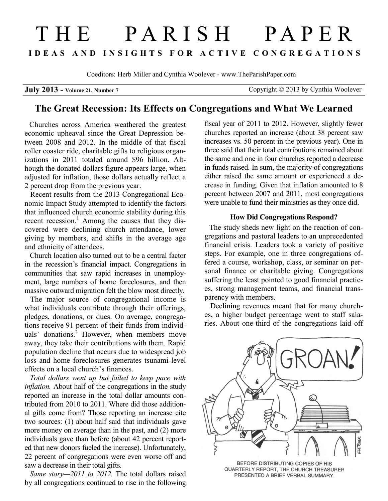# THE PARISH PAPER **I D E A S A N D I N S I G H T S F O R A C T I V E C O N G R E G A T I O N S**

Coeditors: Herb Miller and Cynthia Woolever - www.TheParishPaper.com

|  |  |  |  |  | July 2013 - Volume 21, Number 7 |  |  |  |  |
|--|--|--|--|--|---------------------------------|--|--|--|--|
|--|--|--|--|--|---------------------------------|--|--|--|--|

Copyright © 2013 by Cynthia Woolever

## **The Great Recession: Its Effects on Congregations and What We Learned**

 Churches across America weathered the greatest economic upheaval since the Great Depression between 2008 and 2012. In the middle of that fiscal roller coaster ride, charitable gifts to religious organizations in 2011 totaled around \$96 billion. Although the donated dollars figure appears large, when adjusted for inflation, those dollars actually reflect a 2 percent drop from the previous year.

 Recent results from the 2013 Congregational Economic Impact Study attempted to identify the factors that influenced church economic stability during this recent recession.<sup>1</sup> Among the causes that they discovered were declining church attendance, lower giving by members, and shifts in the average age and ethnicity of attendees.

 Church location also turned out to be a central factor in the recession's financial impact. Congregations in communities that saw rapid increases in unemployment, large numbers of home foreclosures, and then massive outward migration felt the blow most directly.

 The major source of congregational income is what individuals contribute through their offerings, pledges, donations, or dues. On average, congregations receive 91 percent of their funds from individuals' donations.<sup>2</sup> However, when members move away, they take their contributions with them. Rapid population decline that occurs due to widespread job loss and home foreclosures generates tsunami-level effects on a local church's finances.

 *Total dollars went up but failed to keep pace with inflation.* About half of the congregations in the study reported an increase in the total dollar amounts contributed from 2010 to 2011. Where did those additional gifts come from? Those reporting an increase cite two sources: (1) about half said that individuals gave more money on average than in the past, and (2) more individuals gave than before (about 42 percent reported that new donors fueled the increase). Unfortunately, 22 percent of congregations were even worse off and saw a decrease in their total gifts.

 *Same story—2011 to 2012.* The total dollars raised by all congregations continued to rise in the following fiscal year of 2011 to 2012. However, slightly fewer churches reported an increase (about 38 percent saw increases vs. 50 percent in the previous year). One in three said that their total contributions remained about the same and one in four churches reported a decrease in funds raised. In sum, the majority of congregations either raised the same amount or experienced a decrease in funding. Given that inflation amounted to 8 percent between 2007 and 2011, most congregations were unable to fund their ministries as they once did.

#### **How Did Congregations Respond?**

 The study sheds new light on the reaction of congregations and pastoral leaders to an unprecedented financial crisis. Leaders took a variety of positive steps. For example, one in three congregations offered a course, workshop, class, or seminar on personal finance or charitable giving. Congregations suffering the least pointed to good financial practices, strong management teams, and financial transparency with members.

 Declining revenues meant that for many churches, a higher budget percentage went to staff salaries. About one-third of the congregations laid off



QUARTERLY REPORT, THE CHURCH TREASURER PRESENTED A BRIEF VERBAL SUMMARY.